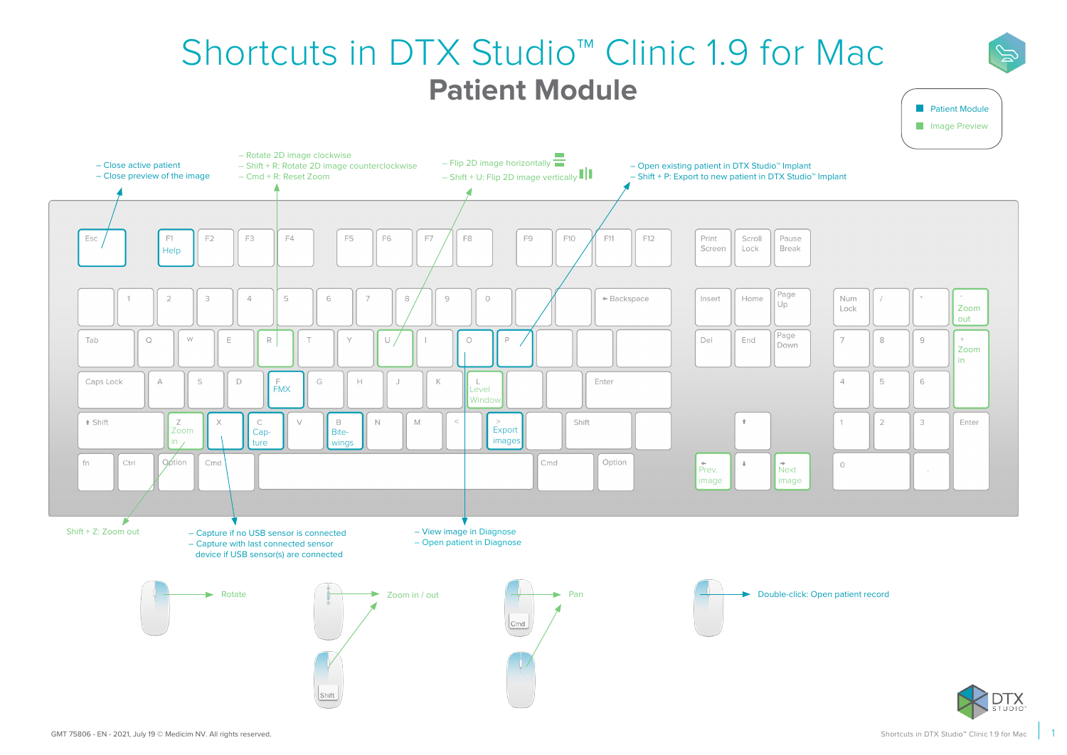## Shortcuts in DTX Studio™ Clinic 1.9 for Mac **Patient Module**



**Patient Module**